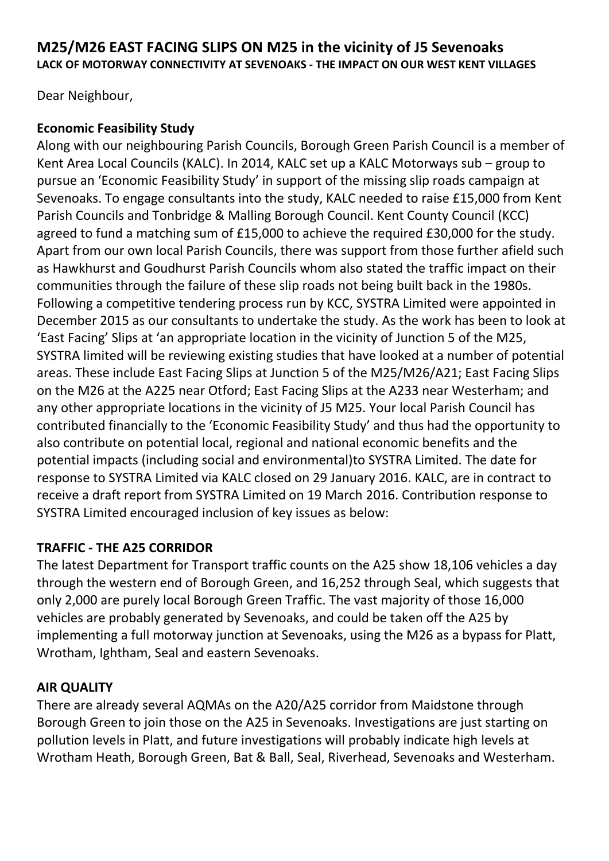# **M25/M26 EAST FACING SLIPS ON M25 in the vicinity of J5 Sevenoaks LACK OF MOTORWAY CONNECTIVITY AT SEVENOAKS - THE IMPACT ON OUR WEST KENT VILLAGES**

Dear Neighbour,

# **Economic Feasibility Study**

Along with our neighbouring Parish Councils, Borough Green Parish Council is a member of Kent Area Local Councils (KALC). In 2014, KALC set up a KALC Motorways sub – group to pursue an 'Economic Feasibility Study' in support of the missing slip roads campaign at Sevenoaks. To engage consultants into the study, KALC needed to raise £15,000 from Kent Parish Councils and Tonbridge & Malling Borough Council. Kent County Council (KCC) agreed to fund a matching sum of £15,000 to achieve the required £30,000 for the study. Apart from our own local Parish Councils, there was support from those further afield such as Hawkhurst and Goudhurst Parish Councils whom also stated the traffic impact on their communities through the failure of these slip roads not being built back in the 1980s. Following a competitive tendering process run by KCC, SYSTRA Limited were appointed in December 2015 as our consultants to undertake the study. As the work has been to look at 'East Facing' Slips at 'an appropriate location in the vicinity of Junction 5 of the M25, SYSTRA limited will be reviewing existing studies that have looked at a number of potential areas. These include East Facing Slips at Junction 5 of the M25/M26/A21; East Facing Slips on the M26 at the A225 near Otford; East Facing Slips at the A233 near Westerham; and any other appropriate locations in the vicinity of J5 M25. Your local Parish Council has contributed financially to the 'Economic Feasibility Study' and thus had the opportunity to also contribute on potential local, regional and national economic benefits and the potential impacts (including social and environmental)to SYSTRA Limited. The date for response to SYSTRA Limited via KALC closed on 29 January 2016. KALC, are in contract to receive a draft report from SYSTRA Limited on 19 March 2016. Contribution response to SYSTRA Limited encouraged inclusion of key issues as below:

# **TRAFFIC - THE A25 CORRIDOR**

The latest Department for Transport traffic counts on the A25 show 18,106 vehicles a day through the western end of Borough Green, and 16,252 through Seal, which suggests that only 2,000 are purely local Borough Green Traffic. The vast majority of those 16,000 vehicles are probably generated by Sevenoaks, and could be taken off the A25 by implementing a full motorway junction at Sevenoaks, using the M26 as a bypass for Platt, Wrotham, Ightham, Seal and eastern Sevenoaks.

### **AIR QUALITY**

There are already several AQMAs on the A20/A25 corridor from Maidstone through Borough Green to join those on the A25 in Sevenoaks. Investigations are just starting on pollution levels in Platt, and future investigations will probably indicate high levels at Wrotham Heath, Borough Green, Bat & Ball, Seal, Riverhead, Sevenoaks and Westerham.